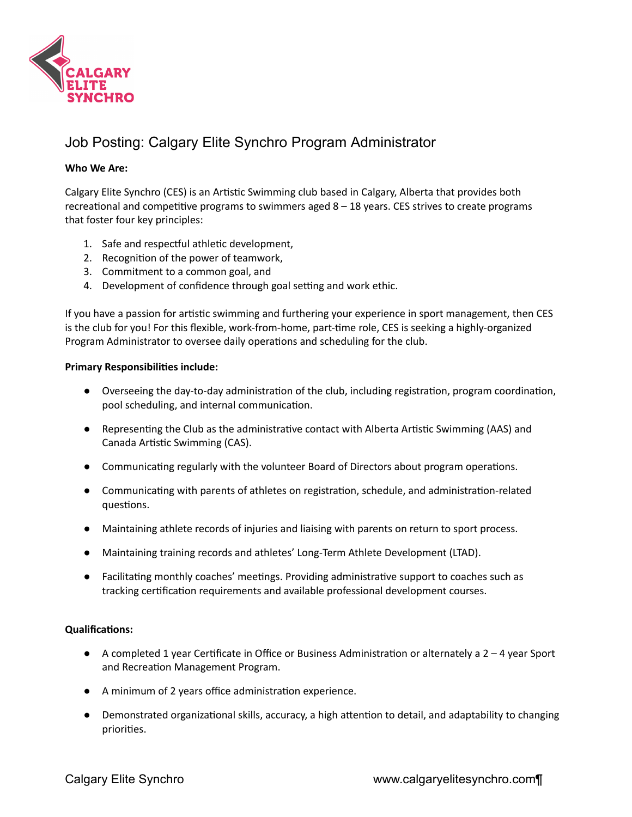

## Job Posting: Calgary Elite Synchro Program Administrator

## **Who We Are:**

Calgary Elite Synchro (CES) is an Artistic Swimming club based in Calgary, Alberta that provides both recreational and competitive programs to swimmers aged  $8 - 18$  years. CES strives to create programs that foster four key principles:

- 1. Safe and respectful athletic development,
- 2. Recognition of the power of teamwork,
- 3. Commitment to a common goal, and
- 4. Development of confidence through goal setting and work ethic.

If you have a passion for artistic swimming and furthering your experience in sport management, then CES is the club for you! For this flexible, work-from-home, part-time role, CES is seeking a highly-organized Program Administrator to oversee daily operations and scheduling for the club.

## **Primary Responsibilies include:**

- Overseeing the day-to-day administration of the club, including registration, program coordination, pool scheduling, and internal communication.
- Representing the Club as the administrative contact with Alberta Artistic Swimming (AAS) and Canada Artistic Swimming (CAS).
- Communicating regularly with the volunteer Board of Directors about program operations.
- Communicating with parents of athletes on registration, schedule, and administration-related questions.
- Maintaining athlete records of injuries and liaising with parents on return to sport process.
- Maintaining training records and athletes' Long-Term Athlete Development (LTAD).
- Facilitating monthly coaches' meetings. Providing administrative support to coaches such as tracking certification requirements and available professional development courses.

## **Qualifications:**

- $\bullet$  A completed 1 year Certificate in Office or Business Administration or alternately a 2 4 year Sport and Recreation Management Program.
- A minimum of 2 years office administration experience.
- Demonstrated organizational skills, accuracy, a high attention to detail, and adaptability to changing priorities.